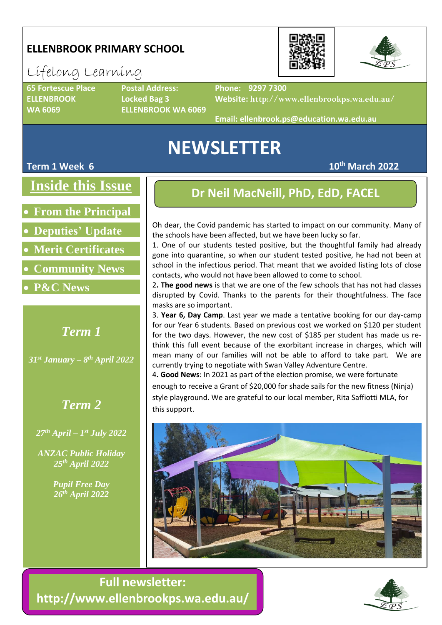## **ELLENBROOK PRIMARY SCHOOL**

## Lifelong Learning

**65 Fortescue Place Postal Address: ELLENBROOK Locked Bag 3**

**WA 6069 ELLENBROOK WA 6069**

**Phone: 9297 7300**

**Website: http://www.ellenbrookps.wa.edu.au/**

**Email: ellenbrook.ps@education.wa.edu.au**

## **NEWSLETTER**

#### **Term 1 Week 6 10th March 2022**

**Inside this Issue**

• **From the Principal**

• **Deputies' Update**

• **Merit Certificates**

- **Community News**
- **P&C News**

## *Term 1*

*31st January – 8 th April 2022*

## *Term 2*

*27th April – 1 st July 2022*

*ANZAC Public Holiday 25th April 2022*

> *Pupil Free Day 26th April 2022*

## **Dr Neil MacNeill, PhD, EdD, FACEL**

Oh dear, the Covid pandemic has started to impact on our community. Many of the schools have been affected, but we have been lucky so far.

1. One of our students tested positive, but the thoughtful family had already gone into quarantine, so when our student tested positive, he had not been at school in the infectious period. That meant that we avoided listing lots of close contacts, who would not have been allowed to come to school.

2**. The good news** is that we are one of the few schools that has not had classes disrupted by Covid. Thanks to the parents for their thoughtfulness. The face masks are so important.

3. **Year 6, Day Camp**. Last year we made a tentative booking for our day-camp for our Year 6 students. Based on previous cost we worked on \$120 per student for the two days. However, the new cost of \$185 per student has made us rethink this full event because of the exorbitant increase in charges, which will mean many of our families will not be able to afford to take part. We are currently trying to negotiate with Swan Valley Adventure Centre.

4**. Good News**: In 2021 as part of the election promise, we were fortunate enough to receive a Grant of \$20,000 for shade sails for the new fitness (Ninja) style playground. We are grateful to our local member, Rita Saffiotti MLA, for this support.



**Full newsletter: http://www.ellenbrookps.wa.edu.au/**



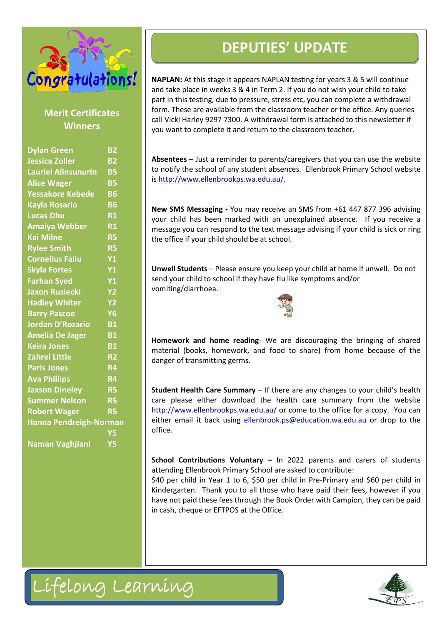

#### **Merit Certificates Winners**

| Congratulations!<br><b>Merit Certificates</b><br><b>Winners</b>                                                                                                   |                                                                                         | <b>DEPUTIES' UPDATE</b><br><b>NAPLAN:</b> At this stage it appears NAPLAN testing for years<br>and take place in weeks 3 & 4 in Term 2. If you do not wish<br>part in this testing, due to pressure, stress etc, you can con<br>form. These are available from the classroom teacher or th<br>call Vicki Harley 9297 7300. A withdrawal form is attached<br>you want to complete it and return to the classroom teach |  |  |
|-------------------------------------------------------------------------------------------------------------------------------------------------------------------|-----------------------------------------------------------------------------------------|-----------------------------------------------------------------------------------------------------------------------------------------------------------------------------------------------------------------------------------------------------------------------------------------------------------------------------------------------------------------------------------------------------------------------|--|--|
|                                                                                                                                                                   |                                                                                         |                                                                                                                                                                                                                                                                                                                                                                                                                       |  |  |
| <b>Rylee Smith</b><br><b>Cornelius Faliu</b><br><b>Skyla Fortes</b><br><b>Farhan Syed</b><br><b>Jaxon Rusiecki</b><br><b>Hadley Whiter</b><br><b>Barry Pascoe</b> | <b>R5</b><br><b>Y1</b><br><b>Y1</b><br><b>Y1</b><br><b>Y2</b><br><b>Y2</b><br><b>Y6</b> | Unwell Students - Please ensure you keep your child at ho<br>send your child to school if they have flu like symptoms and<br>vomiting/diarrhoea.                                                                                                                                                                                                                                                                      |  |  |
| <b>Jordan D'Rozario</b><br><b>Amelia De Jager</b><br><b>Keira Jones</b><br><b>Zahrel Little</b><br><b>Paris Jones</b><br><b>Ava Phillips</b>                      | <b>B1</b><br><b>B1</b><br><b>B1</b><br><b>R2</b><br><b>R4</b><br>R4                     | Homework and home reading- We are discouraging th<br>material (books, homework, and food to share) from h<br>danger of transmitting germs.                                                                                                                                                                                                                                                                            |  |  |
| <b>Jaxson Dineley</b><br><b>Summer Nelson</b><br><b>Robert Wager</b><br>Hanna Pendreigh-Norman                                                                    | R <sub>5</sub><br><b>R5</b><br><b>R5</b><br><b>Y5</b><br><b>Y5</b>                      | Student Health Care Summary - If there are any changes<br>care please either download the health care summa<br>http://www.ellenbrookps.wa.edu.au/ or come to the offic<br>either email it back using ellenbrook.ps@education.wa.e<br>office.                                                                                                                                                                          |  |  |
| <b>Naman Vaghjiani</b>                                                                                                                                            |                                                                                         | School Contributions Voluntary - In 2022 parents an<br>attending Ellenbrook Primary School are asked to contribut<br>\$40 per child in Year 1 to 6, \$50 per child in Pre-Primary<br>Kindergarten. Thank you to all those who have paid thei<br>have not paid these fees through the Book Order with Cam<br>in cash, cheque or EFTPOS at the Office.                                                                  |  |  |
| Lifelong Learning                                                                                                                                                 |                                                                                         |                                                                                                                                                                                                                                                                                                                                                                                                                       |  |  |

**NAPLAN:** At this stage it appears NAPLAN testing for years 3 & 5 will continue and take place in weeks 3 & 4 in Term 2. If you do not wish your child to take part in this testing, due to pressure, stress etc, you can complete a withdrawal form. These are available from the classroom teacher or the office. Any queries call Vicki Harley 9297 7300. A withdrawal form is attached to this newsletter if you want to complete it and return to the classroom teacher.

**Absentees** – Just a reminder to parents/caregivers that you can use the website to notify the school of any student absences. Ellenbrook Primary School website i[s http://www.ellenbrookps.wa.edu.au/.](http://www.ellenbrookps.wa.edu.au/)

**New SMS Messaging -** You may receive an SMS from +61 447 877 396 advising your child has been marked with an unexplained absence. If you receive a message you can respond to the text message advising if your child is sick or ring the office if your child should be at school.

**Unwell Students** – Please ensure you keep your child at home if unwell. Do not send your child to school if they have flu like symptoms and/or vomiting/diarrhoea.



**Homework and home reading**- We are discouraging the bringing of shared material (books, homework, and food to share) from home because of the danger of transmitting germs.

**Student Health Care Summary** – If there are any changes to your child's health care please either download the health care summary from the website <http://www.ellenbrookps.wa.edu.au/> or come to the office for a copy. You can either email it back using [ellenbrook.ps@education.wa.edu.au](mailto:ellenbrook.ps@education.wa.edu.au) or drop to the office.

**School Contributions Voluntary –** In 2022 parents and carers of students attending Ellenbrook Primary School are asked to contribute:

\$40 per child in Year 1 to 6, \$50 per child in Pre-Primary and \$60 per child in Kindergarten. Thank you to all those who have paid their fees, however if you have not paid these fees through the Book Order with Campion, they can be paid in cash, cheque or EFTPOS at the Office.

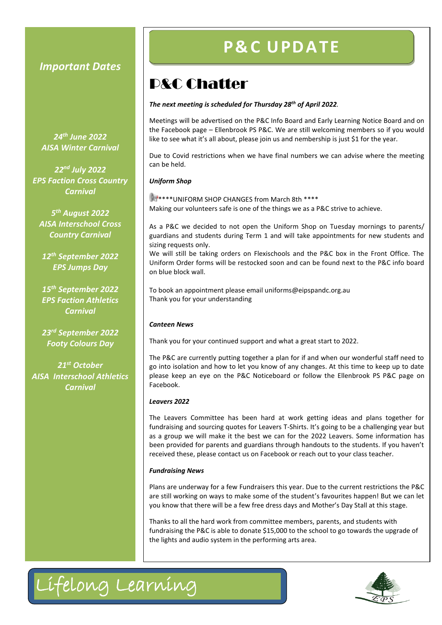#### *Important Dates*

*24th June 2022 AISA Winter Carnival*

*22nd July 2022 EPS Faction Cross Country Carnival*

*5 th August 2022 AISA Interschool Cross Country Carnival*

*12th September 2022 EPS Jumps Day*

*15th September 2022 EPS Faction Athletics Carnival*

*23rd September 2022 Footy Colours Day*

*21st October AISA Interschool Athletics Carnival*

## **P& C U PD ATE**

## P&C Chatter

#### *The next meeting is scheduled for Thursday 28th of April 2022.*

Meetings will be advertised on the P&C Info Board and Early Learning Notice Board and on the Facebook page – Ellenbrook PS P&C. We are still welcoming members so if you would like to see what it's all about, please join us and nembership is just \$1 for the year.

Due to Covid restrictions when we have final numbers we can advise where the meeting can be held.

#### *Uniform Shop*

 $\mathbb{R}$  \*\*\*\*\*UNIFORM SHOP CHANGES from March 8th \*\*\*\* Making our volunteers safe is one of the things we as a P&C strive to achieve.

As a P&C we decided to not open the Uniform Shop on Tuesday mornings to parents/ guardians and students during Term 1 and will take appointments for new students and sizing requests only.

We will still be taking orders on Flexischools and the P&C box in the Front Office. The Uniform Order forms will be restocked soon and can be found next to the P&C info board on blue block wall.

To book an appointment please email uniforms@eipspandc.org.au Thank you for your understanding

#### *Canteen News*

Thank you for your continued support and what a great start to 2022.

The P&C are currently putting together a plan for if and when our wonderful staff need to go into isolation and how to let you know of any changes. At this time to keep up to date please keep an eye on the P&C Noticeboard or follow the Ellenbrook PS P&C page on Facebook.

#### *Leavers 2022*

The Leavers Committee has been hard at work getting ideas and plans together for fundraising and sourcing quotes for Leavers T-Shirts. It's going to be a challenging year but as a group we will make it the best we can for the 2022 Leavers. Some information has been provided for parents and guardians through handouts to the students. If you haven't received these, please contact us on Facebook or reach out to your class teacher.

#### *Fundraising News*

Plans are underway for a few Fundraisers this year. Due to the current restrictions the P&C are still working on ways to make some of the student's favourites happen! But we can let you know that there will be a few free dress days and Mother's Day Stall at this stage.

Thanks to all the hard work from committee members, parents, and students with fundraising the P&C is able to donate \$15,000 to the school to go towards the upgrade of the lights and audio system in the performing arts area.

Lifelong Learning

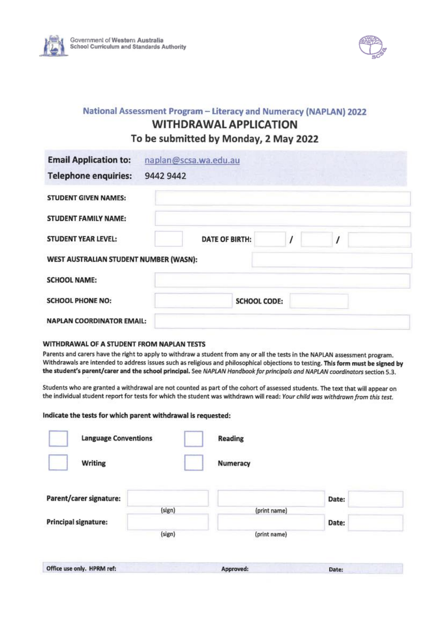



#### National Assessment Program - Literacy and Numeracy (NAPLAN) 2022 **WITHDRAWAL APPLICATION** To be submitted by Monday, 2 May 2022

| <b>Email Application to:</b>           | naplan@scsa.wa.edu.au |                     |  |
|----------------------------------------|-----------------------|---------------------|--|
| <b>Telephone enquiries:</b>            | 9442 9442             |                     |  |
| <b>STUDENT GIVEN NAMES:</b>            |                       |                     |  |
| STUDENT FAMILY NAME:                   |                       |                     |  |
| <b>STUDENT YEAR LEVEL:</b>             | <b>DATE OF BIRTH:</b> |                     |  |
| WEST AUSTRALIAN STUDENT NUMBER (WASN): |                       |                     |  |
| <b>SCHOOL NAME:</b>                    |                       |                     |  |
| <b>SCHOOL PHONE NO:</b>                |                       | <b>SCHOOL CODE:</b> |  |
| <b>NAPLAN COORDINATOR EMAIL:</b>       |                       |                     |  |

#### WITHDRAWAL OF A STUDENT FROM NAPLAN TESTS

Parents and carers have the right to apply to withdraw a student from any or all the tests in the NAPLAN assessment program. Withdrawals are intended to address issues such as religious and philosophical objections to testing. This form must be signed by the student's parent/carer and the school principal. See NAPLAN Handbook for principals and NAPLAN coordinators section 5.3.

Students who are granted a withdrawal are not counted as part of the cohort of assessed students. The text that will appear on the individual student report for tests for which the student was withdrawn will read: Your child was withdrawn from this test.

#### Indicate the tests for which parent withdrawal is requested:

| <b>Language Conventions</b> |        | <b>Reading</b> |       |  |
|-----------------------------|--------|----------------|-------|--|
| Writing                     |        | Numeracy       |       |  |
| Parent/carer signature:     |        |                | Date: |  |
| <b>Principal signature:</b> | (sign) | (print name)   | Date: |  |
|                             | (sign) | (print name)   |       |  |
| Office use only. HPRM ref:  |        | Approved:      | Date: |  |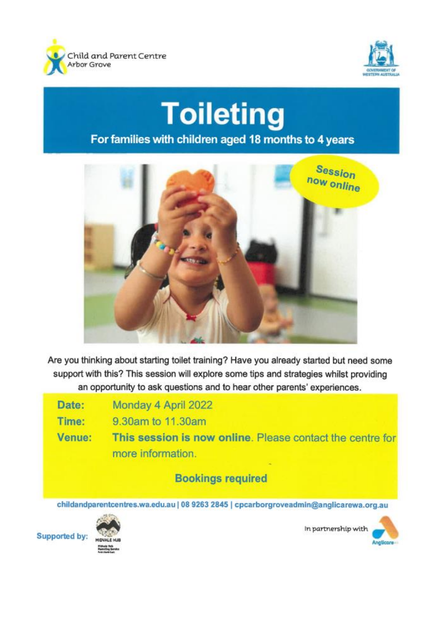



# **Toileting** For families with children aged 18 months to 4 years



Are you thinking about starting toilet training? Have you already started but need some support with this? This session will explore some tips and strategies whilst providing an opportunity to ask questions and to hear other parents' experiences.

| Date:  | Monday 4 April 2022                                                                 |
|--------|-------------------------------------------------------------------------------------|
| Time:  | 9.30am to 11.30am                                                                   |
| Venue: | This session is now online. Please contact the centre for<br>more information.<br>- |
|        | <b>Bookings required</b>                                                            |

childandparentcentres.wa.edu.au | 08 9263 2845 | cpcarborgroveadmin@anglicarewa.org.au



In partnership with

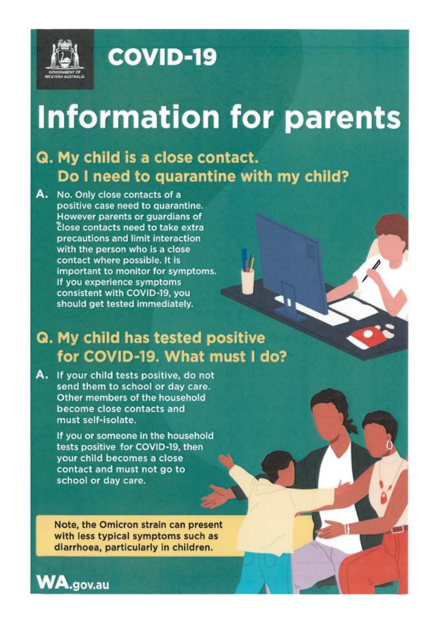

# **COVID-19**

# **Information for parents**

## Q. My child is a close contact. Do I need to quarantine with my child?

A. No. Only close contacts of a positive case need to quarantine. However parents or guardians of close contacts need to take extra precautions and limit interaction with the person who is a close contact where possible. It is important to monitor for symptoms. If you experience symptoms consistent with COVID-19, you should get tested immediately.

## Q. My child has tested positive for COVID-19. What must I do?

A. If your child tests positive, do not send them to school or day care. Other members of the household become close contacts and must self-isolate.

> If you or someone in the household tests positive for COVID-19, then your child becomes a close contact and must not go to school or day care.

Note, the Omicron strain can present with less typical symptoms such as diarrhoea, particularly in children.